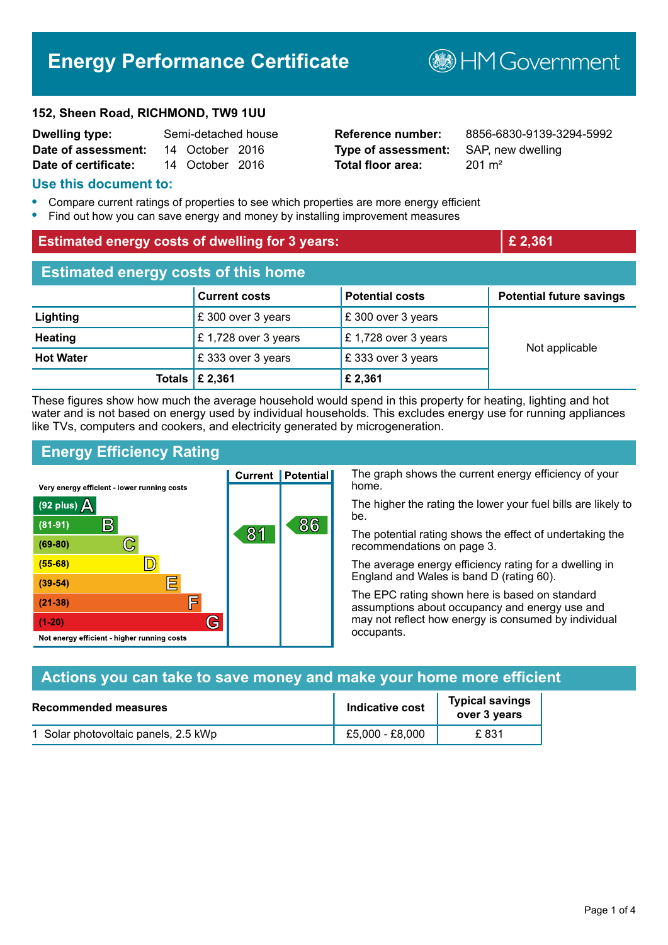# **Energy Performance Certificate**

#### **152, Sheen Road, RICHMOND, TW9 1UU**

| <b>Dwelling type:</b> | Semi-detached house |                 |  |
|-----------------------|---------------------|-----------------|--|
| Date of assessment:   |                     | 14 October 2016 |  |
| Date of certificate:  |                     | 14 October 2016 |  |

# **Type of assessment:** SAP, new dwelling **Total floor area:** 201 m<sup>2</sup>

**Reference number:** 8856-6830-9139-3294-5992

### **Use this document to:**

- **•** Compare current ratings of properties to see which properties are more energy efficient
- **•** Find out how you can save energy and money by installing improvement measures

| <b>Estimated energy costs of dwelling for 3 years:</b> |                           |                        | £ 2,361                         |  |
|--------------------------------------------------------|---------------------------|------------------------|---------------------------------|--|
| <b>Estimated energy costs of this home</b>             |                           |                        |                                 |  |
|                                                        | <b>Current costs</b>      | <b>Potential costs</b> | <b>Potential future savings</b> |  |
| Lighting                                               | £ 300 over 3 years        | £300 over 3 years      |                                 |  |
| <b>Heating</b>                                         | £ 1,728 over 3 years      | £1,728 over 3 years    | Not applicable                  |  |
| <b>Hot Water</b>                                       | £ 333 over 3 years        | £333 over 3 years      |                                 |  |
|                                                        | Totals $\mathsf{E}$ 2,361 | £ 2,361                |                                 |  |

These figures show how much the average household would spend in this property for heating, lighting and hot water and is not based on energy used by individual households. This excludes energy use for running appliances like TVs, computers and cookers, and electricity generated by microgeneration.

## **Energy Efficiency Rating**

The graph shows the current energy efficiency of your **Current | Potential** home. Very energy efficient - lower running costs The higher the rating the lower your fuel bills are likely to (92 plus)  $\Delta$ be.  $\mathsf{R}% _{\mathbb{Z}}\left( \mathbb{Z}\right)$ 86  $(81 - 91)$ 81 The potential rating shows the effect of undertaking the  $(69 - 80)$  $\mathbb{C}$ recommendations on page 3.  $\mathbb{D}$  $(55 - 68)$ The average energy efficiency rating for a dwelling in England and Wales is band D (rating 60). 巨  $(39 - 54)$ The EPC rating shown here is based on standard  $(21-38)$ 屇 assumptions about occupancy and energy use and G may not reflect how energy is consumed by individual  $(1-20)$ occupants. Not energy efficient - higher running costs

| Actions you can take to save money and make your home more efficient |                        |                                        |  |
|----------------------------------------------------------------------|------------------------|----------------------------------------|--|
| <b>Recommended measures</b>                                          | <b>Indicative cost</b> | <b>Typical savings</b><br>over 3 years |  |
| 1 Solar photovoltaic panels, 2.5 kWp                                 | £5,000 - £8,000        | £ 831                                  |  |

**B**HMGovernment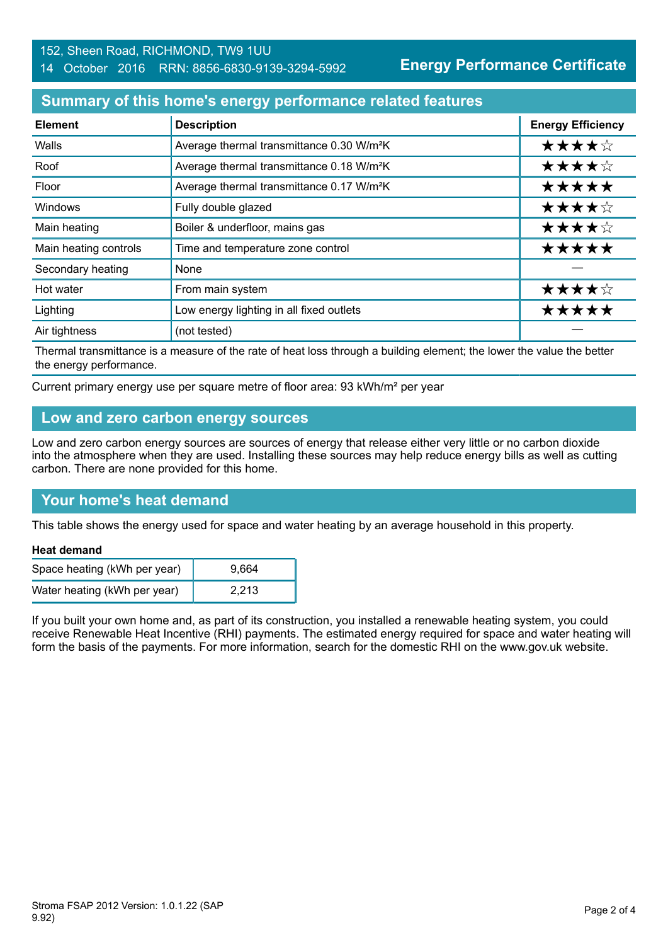### 152, Sheen Road, RICHMOND, TW9 1UU 14 October 2016 RRN: 8856-6830-9139-3294-5992

**Energy Performance Certificate**

## **Summary of this home's energy performance related features**

| <b>Element</b>        | <b>Description</b>                                    | <b>Energy Efficiency</b> |
|-----------------------|-------------------------------------------------------|--------------------------|
| Walls                 | Average thermal transmittance 0.30 W/m <sup>2</sup> K | ★★★★☆                    |
| Roof                  | Average thermal transmittance 0.18 W/m <sup>2</sup> K | ★★★★☆                    |
| Floor                 | Average thermal transmittance 0.17 W/m <sup>2</sup> K | *****                    |
| Windows               | Fully double glazed                                   | ★★★★☆                    |
| Main heating          | Boiler & underfloor, mains gas                        | ★★★★☆                    |
| Main heating controls | Time and temperature zone control                     | *****                    |
| Secondary heating     | None                                                  |                          |
| Hot water             | From main system                                      | ★★★★☆                    |
| Lighting              | Low energy lighting in all fixed outlets              | *****                    |
| Air tightness         | (not tested)                                          |                          |

Thermal transmittance is a measure of the rate of heat loss through a building element; the lower the value the better the energy performance.

Current primary energy use per square metre of floor area: 93 kWh/m² per year

### **Low and zero carbon energy sources**

Low and zero carbon energy sources are sources of energy that release either very little or no carbon dioxide into the atmosphere when they are used. Installing these sources may help reduce energy bills as well as cutting carbon. There are none provided for this home.

## **Your home's heat demand**

This table shows the energy used for space and water heating by an average household in this property.

#### **Heat demand**

| Space heating (kWh per year) | 9.664 |  |
|------------------------------|-------|--|
| Water heating (kWh per year) | 2.213 |  |

If you built your own home and, as part of its construction, you installed a renewable heating system, you could receive Renewable Heat Incentive (RHI) payments. The estimated energy required for space and water heating will form the basis of the payments. For more information, search for the domestic RHI on the www.gov.uk website.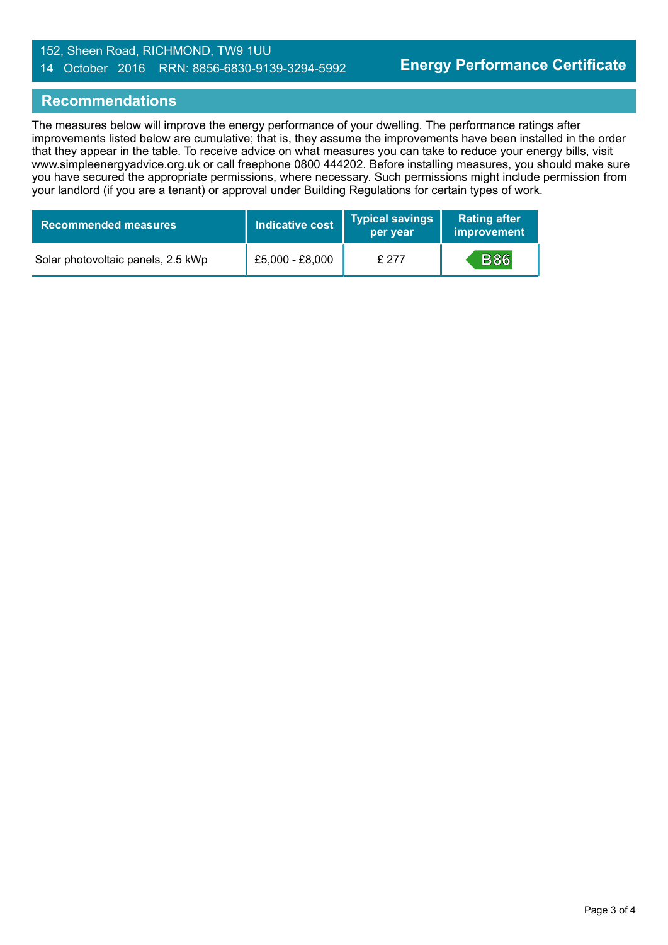### 152, Sheen Road, RICHMOND, TW9 1UU 14 October 2016 RRN: 8856-6830-9139-3294-5992

## **Recommendations**

The measures below will improve the energy performance of your dwelling. The performance ratings after improvements listed below are cumulative; that is, they assume the improvements have been installed in the order that they appear in the table. To receive advice on what measures you can take to reduce your energy bills, visit www.simpleenergyadvice.org.uk or call freephone 0800 444202. Before installing measures, you should make sure you have secured the appropriate permissions, where necessary. Such permissions might include permission from your landlord (if you are a tenant) or approval under Building Regulations for certain types of work.

| <b>Recommended measures</b>        | Indicative cost | <b>Typical savings</b><br>per year | <b>Rating after</b><br>improvement |
|------------------------------------|-----------------|------------------------------------|------------------------------------|
| Solar photovoltaic panels, 2.5 kWp | £5,000 - £8,000 | £277                               | <b>B86</b>                         |